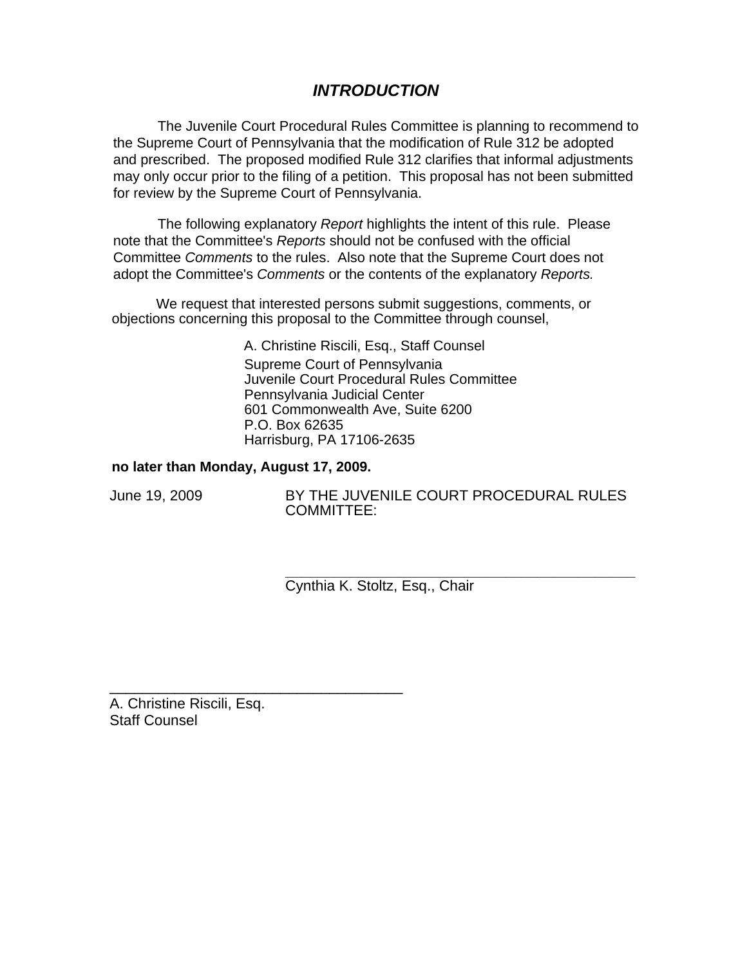# *INTRODUCTION*

The Juvenile Court Procedural Rules Committee is planning to recommend to the Supreme Court of Pennsylvania that the modification of Rule 312 be adopted and prescribed. The proposed modified Rule 312 clarifies that informal adjustments may only occur prior to the filing of a petition. This proposal has not been submitted for review by the Supreme Court of Pennsylvania.

The following explanatory *Report* highlights the intent of this rule. Please note that the Committee's *Reports* should not be confused with the official Committee *Comments* to the rules. Also note that the Supreme Court does not adopt the Committee's *Comments* or the contents of the explanatory *Reports.* 

We request that interested persons submit suggestions, comments, or objections concerning this proposal to the Committee through counsel,

> A. Christine Riscili, Esq., Staff Counsel Supreme Court of Pennsylvania Juvenile Court Procedural Rules Committee Pennsylvania Judicial Center 601 Commonwealth Ave, Suite 6200 P.O. Box 62635 Harrisburg, PA 17106-2635

### **no later than Monday, August 17, 2009.**

\_\_\_\_\_\_\_\_\_\_\_\_\_\_\_\_\_\_\_\_\_\_\_\_\_\_\_\_\_\_\_\_\_\_\_\_

June 19, 2009 BY THE JUVENILE COURT PROCEDURAL RULES COMMITTEE:

> **\_\_\_\_\_\_\_\_\_\_\_\_\_\_\_\_\_\_\_\_\_\_\_\_\_\_\_\_\_\_\_\_\_\_\_\_\_\_\_\_\_\_\_**  Cynthia K. Stoltz, Esq., Chair

A. Christine Riscili, Esq. Staff Counsel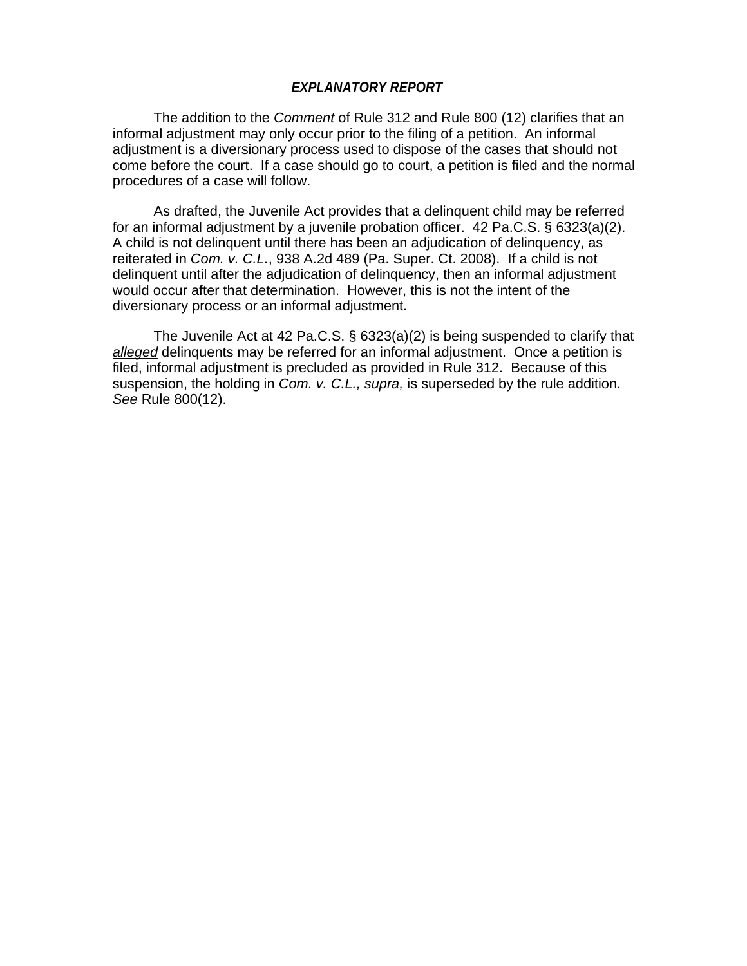### *EXPLANATORY REPORT*

The addition to the *Comment* of Rule 312 and Rule 800 (12) clarifies that an informal adjustment may only occur prior to the filing of a petition. An informal adjustment is a diversionary process used to dispose of the cases that should not come before the court. If a case should go to court, a petition is filed and the normal procedures of a case will follow.

As drafted, the Juvenile Act provides that a delinquent child may be referred for an informal adjustment by a juvenile probation officer. 42 Pa.C.S. § 6323(a)(2). A child is not delinquent until there has been an adjudication of delinquency, as reiterated in *Com. v. C.L.*, 938 A.2d 489 (Pa. Super. Ct. 2008). If a child is not delinquent until after the adjudication of delinquency, then an informal adjustment would occur after that determination. However, this is not the intent of the diversionary process or an informal adjustment.

The Juvenile Act at 42 Pa.C.S. § 6323(a)(2) is being suspended to clarify that *alleged* delinquents may be referred for an informal adjustment. Once a petition is filed, informal adjustment is precluded as provided in Rule 312. Because of this suspension, the holding in *Com. v. C.L., supra,* is superseded by the rule addition. *See* Rule 800(12).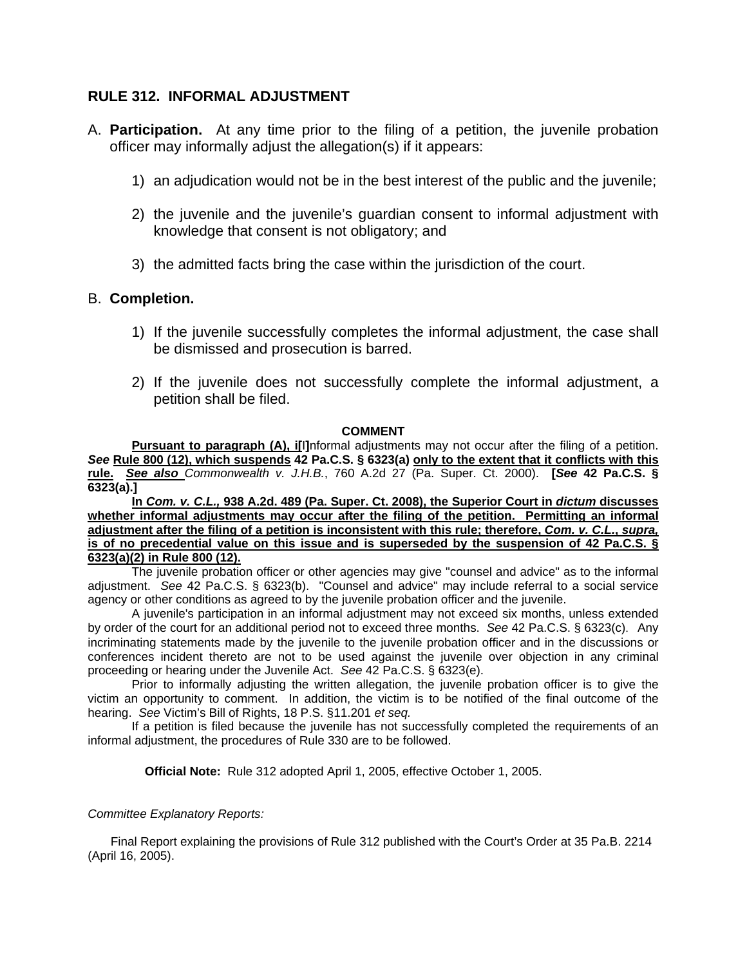# **RULE 312. INFORMAL ADJUSTMENT**

- A. **Participation.** At any time prior to the filing of a petition, the juvenile probation officer may informally adjust the allegation(s) if it appears:
	- 1) an adjudication would not be in the best interest of the public and the juvenile;
	- 2) the juvenile and the juvenile's guardian consent to informal adjustment with knowledge that consent is not obligatory; and
	- 3) the admitted facts bring the case within the jurisdiction of the court.

### B. **Completion.**

- 1) If the juvenile successfully completes the informal adjustment, the case shall be dismissed and prosecution is barred.
- 2) If the juvenile does not successfully complete the informal adjustment, a petition shall be filed.

#### **COMMENT**

**Pursuant to paragraph (A), i[**I**]**nformal adjustments may not occur after the filing of a petition. *See* **Rule 800 (12), which suspends 42 Pa.C.S. § 6323(a) only to the extent that it conflicts with this rule.** *See also Commonwealth v. J.H.B.*, 760 A.2d 27 (Pa. Super. Ct. 2000). **[***See* **42 Pa.C.S. § 6323(a).]** 

**In** *Com. v. C.L.,* **938 A.2d. 489 (Pa. Super. Ct. 2008), the Superior Court in** *dictum* **discusses whether informal adjustments may occur after the filing of the petition. Permitting an informal adjustment after the filing of a petition is inconsistent with this rule; therefore,** *Com. v. C.L.***,** *supra,*  **is of no precedential value on this issue and is superseded by the suspension of 42 Pa.C.S. § 6323(a)(2) in Rule 800 (12).** 

The juvenile probation officer or other agencies may give "counsel and advice" as to the informal adjustment. *See* 42 Pa.C.S. § 6323(b). "Counsel and advice" may include referral to a social service agency or other conditions as agreed to by the juvenile probation officer and the juvenile.

A juvenile's participation in an informal adjustment may not exceed six months, unless extended by order of the court for an additional period not to exceed three months. *See* 42 Pa.C.S. § 6323(c). Any incriminating statements made by the juvenile to the juvenile probation officer and in the discussions or conferences incident thereto are not to be used against the juvenile over objection in any criminal proceeding or hearing under the Juvenile Act. *See* 42 Pa.C.S. § 6323(e).

Prior to informally adjusting the written allegation, the juvenile probation officer is to give the victim an opportunity to comment. In addition, the victim is to be notified of the final outcome of the hearing. *See* Victim's Bill of Rights, 18 P.S. §11.201 *et seq.* 

If a petition is filed because the juvenile has not successfully completed the requirements of an informal adjustment, the procedures of Rule 330 are to be followed.

**Official Note:** Rule 312 adopted April 1, 2005, effective October 1, 2005.

#### *Committee Explanatory Reports:*

Final Report explaining the provisions of Rule 312 published with the Court's Order at 35 Pa.B. 2214 (April 16, 2005).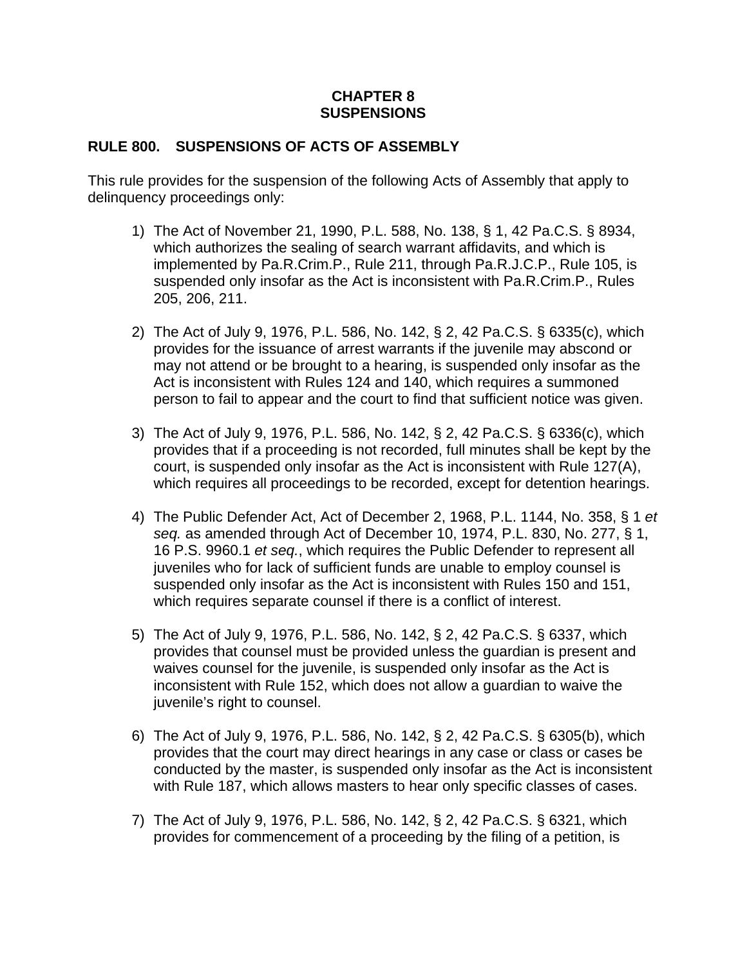# **CHAPTER 8 SUSPENSIONS**

# **RULE 800. SUSPENSIONS OF ACTS OF ASSEMBLY**

This rule provides for the suspension of the following Acts of Assembly that apply to delinquency proceedings only:

- 1) The Act of November 21, 1990, P.L. 588, No. 138, § 1, 42 Pa.C.S. § 8934, which authorizes the sealing of search warrant affidavits, and which is implemented by Pa.R.Crim.P., Rule 211, through Pa.R.J.C.P., Rule 105, is suspended only insofar as the Act is inconsistent with Pa.R.Crim.P., Rules 205, 206, 211.
- 2) The Act of July 9, 1976, P.L. 586, No. 142, § 2, 42 Pa.C.S. § 6335(c), which provides for the issuance of arrest warrants if the juvenile may abscond or may not attend or be brought to a hearing, is suspended only insofar as the Act is inconsistent with Rules 124 and 140, which requires a summoned person to fail to appear and the court to find that sufficient notice was given.
- 3) The Act of July 9, 1976, P.L. 586, No. 142, § 2, 42 Pa.C.S. § 6336(c), which provides that if a proceeding is not recorded, full minutes shall be kept by the court, is suspended only insofar as the Act is inconsistent with Rule 127(A), which requires all proceedings to be recorded, except for detention hearings.
- 4) The Public Defender Act, Act of December 2, 1968, P.L. 1144, No. 358, § 1 *et seq.* as amended through Act of December 10, 1974, P.L. 830, No. 277, § 1, 16 P.S. 9960.1 *et seq.*, which requires the Public Defender to represent all juveniles who for lack of sufficient funds are unable to employ counsel is suspended only insofar as the Act is inconsistent with Rules 150 and 151, which requires separate counsel if there is a conflict of interest.
- 5) The Act of July 9, 1976, P.L. 586, No. 142, § 2, 42 Pa.C.S. § 6337, which provides that counsel must be provided unless the guardian is present and waives counsel for the juvenile, is suspended only insofar as the Act is inconsistent with Rule 152, which does not allow a guardian to waive the juvenile's right to counsel.
- 6) The Act of July 9, 1976, P.L. 586, No. 142, § 2, 42 Pa.C.S. § 6305(b), which provides that the court may direct hearings in any case or class or cases be conducted by the master, is suspended only insofar as the Act is inconsistent with Rule 187, which allows masters to hear only specific classes of cases.
- 7) The Act of July 9, 1976, P.L. 586, No. 142, § 2, 42 Pa.C.S. § 6321, which provides for commencement of a proceeding by the filing of a petition, is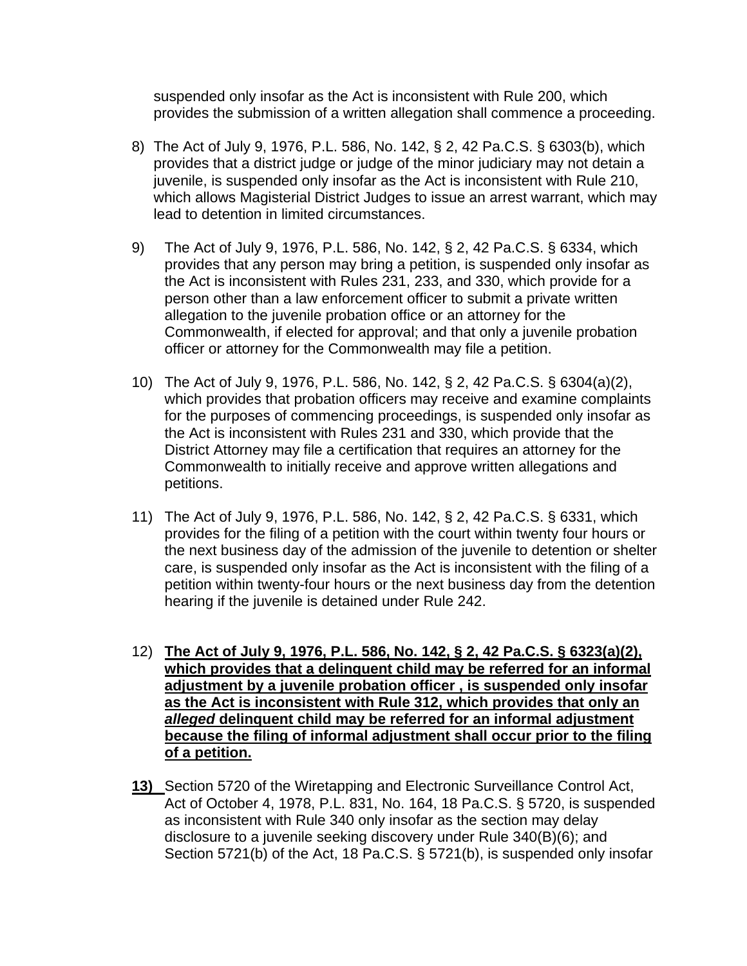suspended only insofar as the Act is inconsistent with Rule 200, which provides the submission of a written allegation shall commence a proceeding.

- 8) The Act of July 9, 1976, P.L. 586, No. 142, § 2, 42 Pa.C.S. § 6303(b), which provides that a district judge or judge of the minor judiciary may not detain a juvenile, is suspended only insofar as the Act is inconsistent with Rule 210, which allows Magisterial District Judges to issue an arrest warrant, which may lead to detention in limited circumstances.
- 9) The Act of July 9, 1976, P.L. 586, No. 142, § 2, 42 Pa.C.S. § 6334, which provides that any person may bring a petition, is suspended only insofar as the Act is inconsistent with Rules 231, 233, and 330, which provide for a person other than a law enforcement officer to submit a private written allegation to the juvenile probation office or an attorney for the Commonwealth, if elected for approval; and that only a juvenile probation officer or attorney for the Commonwealth may file a petition.
- 10) The Act of July 9, 1976, P.L. 586, No. 142, § 2, 42 Pa.C.S. § 6304(a)(2), which provides that probation officers may receive and examine complaints for the purposes of commencing proceedings, is suspended only insofar as the Act is inconsistent with Rules 231 and 330, which provide that the District Attorney may file a certification that requires an attorney for the Commonwealth to initially receive and approve written allegations and petitions.
- 11) The Act of July 9, 1976, P.L. 586, No. 142, § 2, 42 Pa.C.S. § 6331, which provides for the filing of a petition with the court within twenty four hours or the next business day of the admission of the juvenile to detention or shelter care, is suspended only insofar as the Act is inconsistent with the filing of a petition within twenty-four hours or the next business day from the detention hearing if the juvenile is detained under Rule 242.
- 12) **The Act of July 9, 1976, P.L. 586, No. 142, § 2, 42 Pa.C.S. § 6323(a)(2), which provides that a delinquent child may be referred for an informal adjustment by a juvenile probation officer , is suspended only insofar as the Act is inconsistent with Rule 312, which provides that only an**  *alleged* **delinquent child may be referred for an informal adjustment because the filing of informal adjustment shall occur prior to the filing of a petition.**
- **13)** Section 5720 of the Wiretapping and Electronic Surveillance Control Act, Act of October 4, 1978, P.L. 831, No. 164, 18 Pa.C.S. § 5720, is suspended as inconsistent with Rule 340 only insofar as the section may delay disclosure to a juvenile seeking discovery under Rule 340(B)(6); and Section 5721(b) of the Act, 18 Pa.C.S. § 5721(b), is suspended only insofar